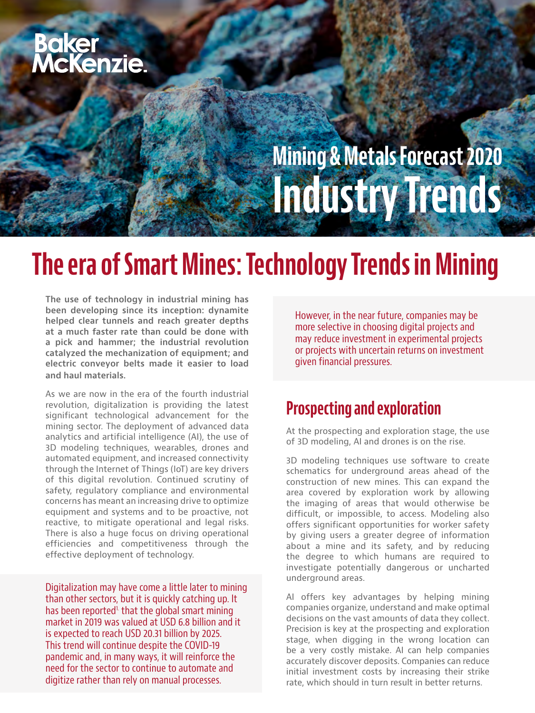# **Baker<br>McKenzie.**

### Mining & Metals Forecast 2020 Industry Trends

### The era of Smart Mines: Technology Trends in Mining

The use of technology in industrial mining has been developing since its inception: dynamite helped clear tunnels and reach greater depths at a much faster rate than could be done with a pick and hammer; the industrial revolution catalyzed the mechanization of equipment; and electric conveyor belts made it easier to load and haul materials.

As we are now in the era of the fourth industrial revolution, digitalization is providing the latest significant technological advancement for the mining sector. The deployment of advanced data analytics and artificial intelligence (AI), the use of 3D modeling techniques, wearables, drones and automated equipment, and increased connectivity through the Internet of Things (IoT) are key drivers of this digital revolution. Continued scrutiny of safety, regulatory compliance and environmental concerns has meant an increasing drive to optimize equipment and systems and to be proactive, not reactive, to mitigate operational and legal risks. There is also a huge focus on driving operational efficiencies and competitiveness through the effective deployment of technology.

Digitalization may have come a little later to mining than other sectors, but it is quickly catching up. It has been reported<sup>1</sup> that the global smart mining market in 2019 was valued at USD 6.8 billion and it is expected to reach USD 20.31 billion by 2025. This trend will continue despite the COVID-19 pandemic and, in many ways, it will reinforce the need for the sector to continue to automate and digitize rather than rely on manual processes.

However, in the near future, companies may be more selective in choosing digital projects and may reduce investment in experimental projects or projects with uncertain returns on investment given financial pressures.

#### Prospecting and exploration

At the prospecting and exploration stage, the use of 3D modeling, AI and drones is on the rise.

3D modeling techniques use software to create schematics for underground areas ahead of the construction of new mines. This can expand the area covered by exploration work by allowing the imaging of areas that would otherwise be difficult, or impossible, to access. Modeling also offers significant opportunities for worker safety by giving users a greater degree of information about a mine and its safety, and by reducing the degree to which humans are required to investigate potentially dangerous or uncharted underground areas.

AI offers key advantages by helping mining companies organize, understand and make optimal decisions on the vast amounts of data they collect. Precision is key at the prospecting and exploration stage, when digging in the wrong location can be a very costly mistake. AI can help companies accurately discover deposits. Companies can reduce initial investment costs by increasing their strike rate, which should in turn result in better returns.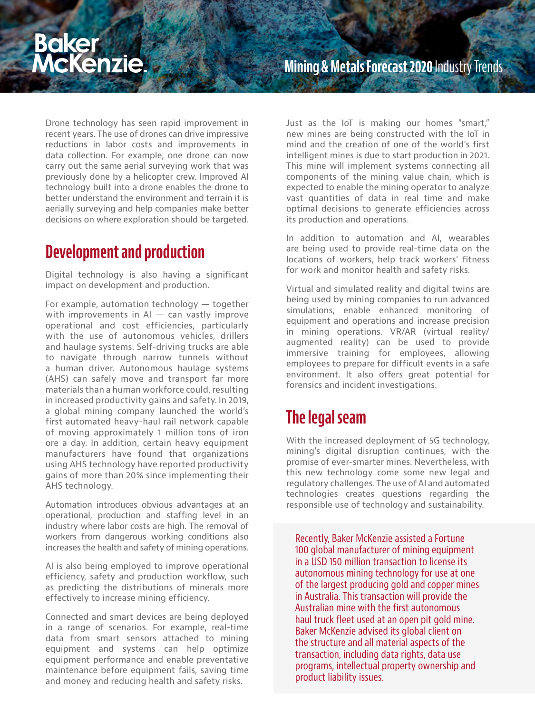## Baker<br>McKenzie.

Drone technology has seen rapid improvement in recent years. The use of drones can drive impressive reductions in labor costs and improvements in data collection. For example, one drone can now carry out the same aerial surveying work that was previously done by a helicopter crew. Improved AI technology built into a drone enables the drone to better understand the environment and terrain it is aerially surveying and help companies make better decisions on where exploration should be targeted.

### Development and production

Digital technology is also having a significant impact on development and production.

For example, automation technology — together with improvements in  $AI - can vastly$  improve operational and cost efficiencies, particularly with the use of autonomous vehicles, drillers and haulage systems. Self-driving trucks are able to navigate through narrow tunnels without a human driver. Autonomous haulage systems (AHS) can safely move and transport far more materials than a human workforce could, resulting in increased productivity gains and safety. In 2019, a global mining company launched the world's first automated heavy-haul rail network capable of moving approximately 1 million tons of iron ore a day. In addition, certain heavy equipment manufacturers have found that organizations using AHS technology have reported productivity gains of more than 20% since implementing their AHS technology.

Automation introduces obvious advantages at an operational, production and staffing level in an industry where labor costs are high. The removal of workers from dangerous working conditions also increases the health and safety of mining operations.

AI is also being employed to improve operational efficiency, safety and production workflow, such as predicting the distributions of minerals more effectively to increase mining efficiency.

Connected and smart devices are being deployed in a range of scenarios. For example, real-time data from smart sensors attached to mining equipment and systems can help optimize equipment performance and enable preventative maintenance before equipment fails, saving time and money and reducing health and safety risks.

Just as the IoT is making our homes "smart," new mines are being constructed with the IoT in mind and the creation of one of the world's first intelligent mines is due to start production in 2021. This mine will implement systems connecting all components of the mining value chain, which is expected to enable the mining operator to analyze vast quantities of data in real time and make optimal decisions to generate efficiencies across its production and operations.

In addition to automation and AI, wearables are being used to provide real-time data on the locations of workers, help track workers' fitness for work and monitor health and safety risks.

Virtual and simulated reality and digital twins are being used by mining companies to run advanced simulations, enable enhanced monitoring of equipment and operations and increase precision in mining operations. VR/AR (virtual reality/ augmented reality) can be used to provide immersive training for employees, allowing employees to prepare for difficult events in a safe environment. It also offers great potential for forensics and incident investigations.

### The legal seam

With the increased deployment of 5G technology, mining's digital disruption continues, with the promise of ever-smarter mines. Nevertheless, with this new technology come some new legal and regulatory challenges. The use of AI and automated technologies creates questions regarding the responsible use of technology and sustainability.

Recently, Baker McKenzie assisted a Fortune 100 global manufacturer of mining equipment in a USD 150 million transaction to license its autonomous mining technology for use at one of the largest producing gold and copper mines in Australia. This transaction will provide the Australian mine with the first autonomous haul truck fleet used at an open pit gold mine. Baker McKenzie advised its global client on the structure and all material aspects of the transaction, including data rights, data use programs, intellectual property ownership and product liability issues.